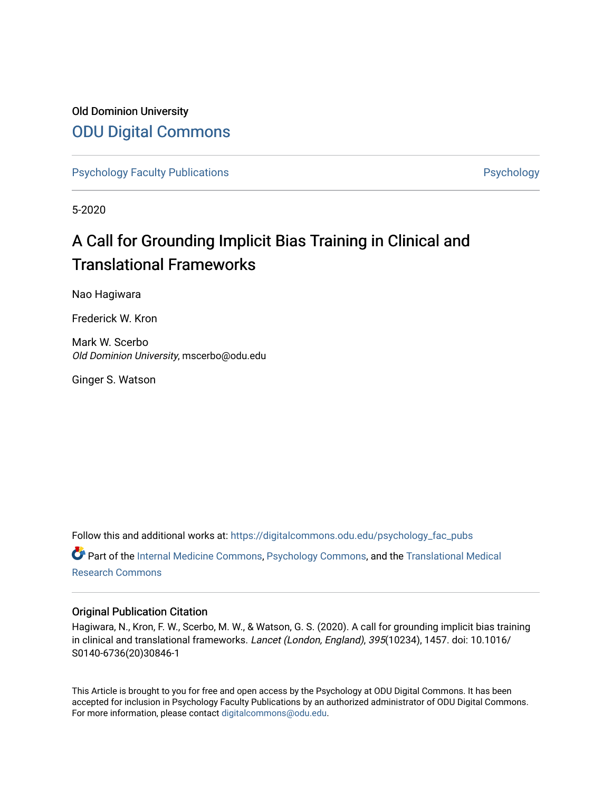### Old Dominion University [ODU Digital Commons](https://digitalcommons.odu.edu/)

[Psychology Faculty Publications](https://digitalcommons.odu.edu/psychology_fac_pubs) **Psychology** Psychology

5-2020

## A Call for Grounding Implicit Bias Training in Clinical and Translational Frameworks

Nao Hagiwara

Frederick W. Kron

Mark W. Scerbo Old Dominion University, mscerbo@odu.edu

Ginger S. Watson

Follow this and additional works at: [https://digitalcommons.odu.edu/psychology\\_fac\\_pubs](https://digitalcommons.odu.edu/psychology_fac_pubs?utm_source=digitalcommons.odu.edu%2Fpsychology_fac_pubs%2F105&utm_medium=PDF&utm_campaign=PDFCoverPages) Part of the [Internal Medicine Commons](http://network.bepress.com/hgg/discipline/1356?utm_source=digitalcommons.odu.edu%2Fpsychology_fac_pubs%2F105&utm_medium=PDF&utm_campaign=PDFCoverPages), [Psychology Commons,](http://network.bepress.com/hgg/discipline/404?utm_source=digitalcommons.odu.edu%2Fpsychology_fac_pubs%2F105&utm_medium=PDF&utm_campaign=PDFCoverPages) and the [Translational Medical](http://network.bepress.com/hgg/discipline/1124?utm_source=digitalcommons.odu.edu%2Fpsychology_fac_pubs%2F105&utm_medium=PDF&utm_campaign=PDFCoverPages)  [Research Commons](http://network.bepress.com/hgg/discipline/1124?utm_source=digitalcommons.odu.edu%2Fpsychology_fac_pubs%2F105&utm_medium=PDF&utm_campaign=PDFCoverPages) 

### Original Publication Citation

Hagiwara, N., Kron, F. W., Scerbo, M. W., & Watson, G. S. (2020). A call for grounding implicit bias training in clinical and translational frameworks. Lancet (London, England), 395(10234), 1457. doi: 10.1016/ S0140-6736(20)30846-1

This Article is brought to you for free and open access by the Psychology at ODU Digital Commons. It has been accepted for inclusion in Psychology Faculty Publications by an authorized administrator of ODU Digital Commons. For more information, please contact [digitalcommons@odu.edu](mailto:digitalcommons@odu.edu).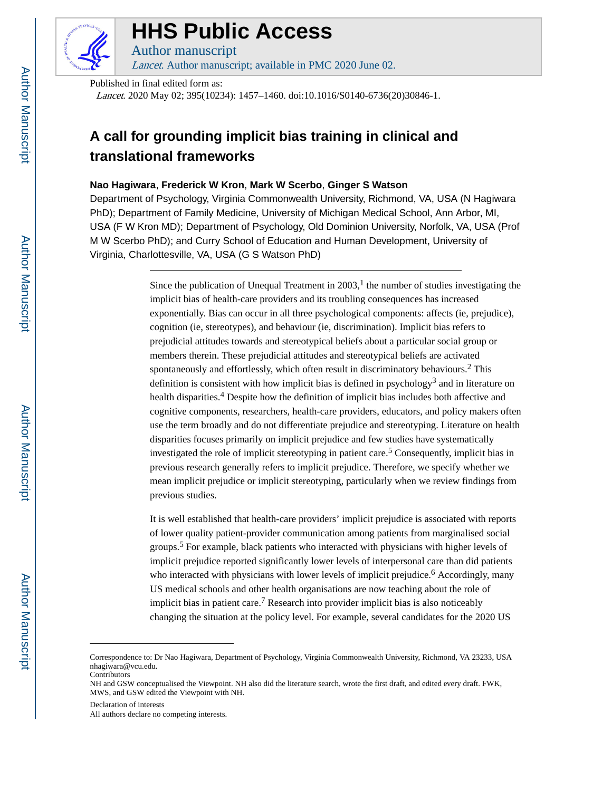

# **HHS Public Access**

Author manuscript Lancet. Author manuscript; available in PMC 2020 June 02.

Published in final edited form as:

Lancet. 2020 May 02; 395(10234): 1457–1460. doi:10.1016/S0140-6736(20)30846-1.

## **A call for grounding implicit bias training in clinical and translational frameworks**

### **Nao Hagiwara**, **Frederick W Kron**, **Mark W Scerbo**, **Ginger S Watson**

Department of Psychology, Virginia Commonwealth University, Richmond, VA, USA (N Hagiwara PhD); Department of Family Medicine, University of Michigan Medical School, Ann Arbor, MI, USA (F W Kron MD); Department of Psychology, Old Dominion University, Norfolk, VA, USA (Prof M W Scerbo PhD); and Curry School of Education and Human Development, University of Virginia, Charlottesville, VA, USA (G S Watson PhD)

> Since the publication of Unequal Treatment in  $2003$ ,<sup>1</sup> the number of studies investigating the implicit bias of health-care providers and its troubling consequences has increased exponentially. Bias can occur in all three psychological components: affects (ie, prejudice), cognition (ie, stereotypes), and behaviour (ie, discrimination). Implicit bias refers to prejudicial attitudes towards and stereotypical beliefs about a particular social group or members therein. These prejudicial attitudes and stereotypical beliefs are activated spontaneously and effortlessly, which often result in discriminatory behaviours.<sup>2</sup> This definition is consistent with how implicit bias is defined in psychology<sup>3</sup> and in literature on health disparities.<sup>4</sup> Despite how the definition of implicit bias includes both affective and cognitive components, researchers, health-care providers, educators, and policy makers often use the term broadly and do not differentiate prejudice and stereotyping. Literature on health disparities focuses primarily on implicit prejudice and few studies have systematically investigated the role of implicit stereotyping in patient care.<sup>5</sup> Consequently, implicit bias in previous research generally refers to implicit prejudice. Therefore, we specify whether we mean implicit prejudice or implicit stereotyping, particularly when we review findings from previous studies.

It is well established that health-care providers' implicit prejudice is associated with reports of lower quality patient-provider communication among patients from marginalised social groups.<sup>5</sup> For example, black patients who interacted with physicians with higher levels of implicit prejudice reported significantly lower levels of interpersonal care than did patients who interacted with physicians with lower levels of implicit prejudice.<sup>6</sup> Accordingly, many US medical schools and other health organisations are now teaching about the role of implicit bias in patient care.<sup>7</sup> Research into provider implicit bias is also noticeably changing the situation at the policy level. For example, several candidates for the 2020 US

Declaration of interests

Correspondence to: Dr Nao Hagiwara, Department of Psychology, Virginia Commonwealth University, Richmond, VA 23233, USA nhagiwara@vcu.edu. **Contributors** 

NH and GSW conceptualised the Viewpoint. NH also did the literature search, wrote the first draft, and edited every draft. FWK, MWS, and GSW edited the Viewpoint with NH.

All authors declare no competing interests.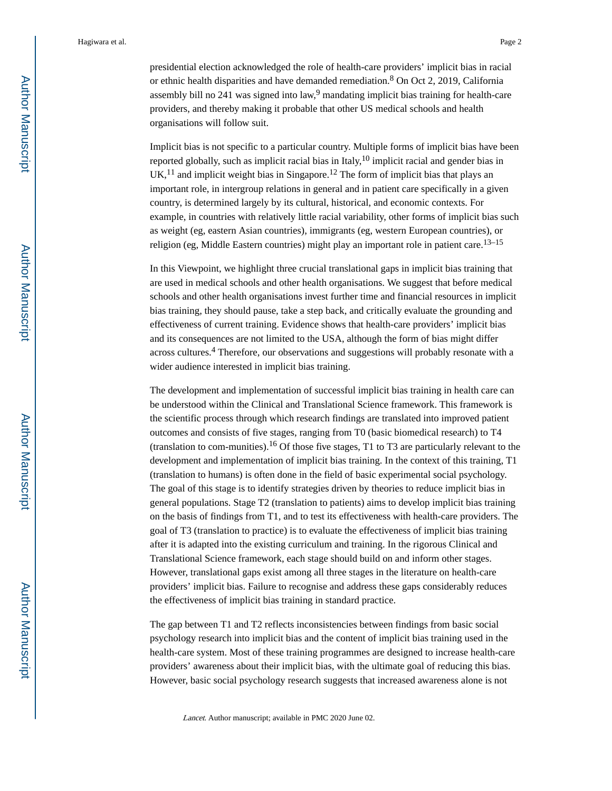presidential election acknowledged the role of health-care providers' implicit bias in racial or ethnic health disparities and have demanded remediation.<sup>8</sup> On Oct 2, 2019, California assembly bill no  $241$  was signed into law,<sup>9</sup> mandating implicit bias training for health-care providers, and thereby making it probable that other US medical schools and health organisations will follow suit.

Implicit bias is not specific to a particular country. Multiple forms of implicit bias have been reported globally, such as implicit racial bias in Italy,  $10$  implicit racial and gender bias in  $UK<sup>11</sup>$  and implicit weight bias in Singapore.<sup>12</sup> The form of implicit bias that plays an important role, in intergroup relations in general and in patient care specifically in a given country, is determined largely by its cultural, historical, and economic contexts. For example, in countries with relatively little racial variability, other forms of implicit bias such as weight (eg, eastern Asian countries), immigrants (eg, western European countries), or religion (eg, Middle Eastern countries) might play an important role in patient care.<sup>13–15</sup>

In this Viewpoint, we highlight three crucial translational gaps in implicit bias training that are used in medical schools and other health organisations. We suggest that before medical schools and other health organisations invest further time and financial resources in implicit bias training, they should pause, take a step back, and critically evaluate the grounding and effectiveness of current training. Evidence shows that health-care providers' implicit bias and its consequences are not limited to the USA, although the form of bias might differ across cultures.<sup>4</sup> Therefore, our observations and suggestions will probably resonate with a wider audience interested in implicit bias training.

The development and implementation of successful implicit bias training in health care can be understood within the Clinical and Translational Science framework. This framework is the scientific process through which research findings are translated into improved patient outcomes and consists of five stages, ranging from T0 (basic biomedical research) to T4 (translation to com-munities).<sup>16</sup> Of those five stages, T<sub>1</sub> to T<sub>3</sub> are particularly relevant to the development and implementation of implicit bias training. In the context of this training, T1 (translation to humans) is often done in the field of basic experimental social psychology. The goal of this stage is to identify strategies driven by theories to reduce implicit bias in general populations. Stage T2 (translation to patients) aims to develop implicit bias training on the basis of findings from T1, and to test its effectiveness with health-care providers. The goal of T3 (translation to practice) is to evaluate the effectiveness of implicit bias training after it is adapted into the existing curriculum and training. In the rigorous Clinical and Translational Science framework, each stage should build on and inform other stages. However, translational gaps exist among all three stages in the literature on health-care providers' implicit bias. Failure to recognise and address these gaps considerably reduces the effectiveness of implicit bias training in standard practice.

The gap between T1 and T2 reflects inconsistencies between findings from basic social psychology research into implicit bias and the content of implicit bias training used in the health-care system. Most of these training programmes are designed to increase health-care providers' awareness about their implicit bias, with the ultimate goal of reducing this bias. However, basic social psychology research suggests that increased awareness alone is not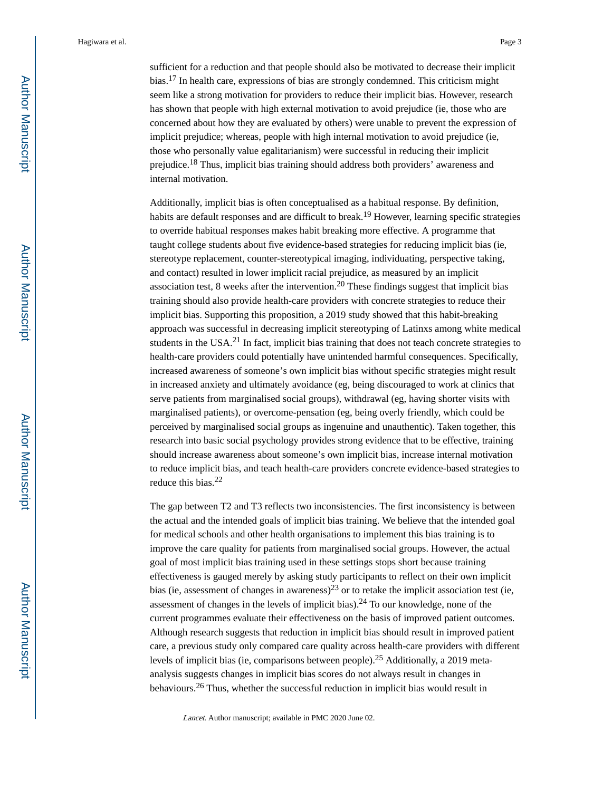Hagiwara et al. Page 3

sufficient for a reduction and that people should also be motivated to decrease their implicit bias.17 In health care, expressions of bias are strongly condemned. This criticism might seem like a strong motivation for providers to reduce their implicit bias. However, research has shown that people with high external motivation to avoid prejudice (ie, those who are concerned about how they are evaluated by others) were unable to prevent the expression of implicit prejudice; whereas, people with high internal motivation to avoid prejudice (ie, those who personally value egalitarianism) were successful in reducing their implicit prejudice.18 Thus, implicit bias training should address both providers' awareness and internal motivation.

Additionally, implicit bias is often conceptualised as a habitual response. By definition, habits are default responses and are difficult to break.<sup>19</sup> However, learning specific strategies to override habitual responses makes habit breaking more effective. A programme that taught college students about five evidence-based strategies for reducing implicit bias (ie, stereotype replacement, counter-stereotypical imaging, individuating, perspective taking, and contact) resulted in lower implicit racial prejudice, as measured by an implicit association test, 8 weeks after the intervention.<sup>20</sup> These findings suggest that implicit bias training should also provide health-care providers with concrete strategies to reduce their implicit bias. Supporting this proposition, a 2019 study showed that this habit-breaking approach was successful in decreasing implicit stereotyping of Latinxs among white medical students in the USA.<sup>21</sup> In fact, implicit bias training that does not teach concrete strategies to health-care providers could potentially have unintended harmful consequences. Specifically, increased awareness of someone's own implicit bias without specific strategies might result in increased anxiety and ultimately avoidance (eg, being discouraged to work at clinics that serve patients from marginalised social groups), withdrawal (eg, having shorter visits with marginalised patients), or overcome-pensation (eg, being overly friendly, which could be perceived by marginalised social groups as ingenuine and unauthentic). Taken together, this research into basic social psychology provides strong evidence that to be effective, training should increase awareness about someone's own implicit bias, increase internal motivation to reduce implicit bias, and teach health-care providers concrete evidence-based strategies to reduce this bias.<sup>22</sup>

The gap between T2 and T3 reflects two inconsistencies. The first inconsistency is between the actual and the intended goals of implicit bias training. We believe that the intended goal for medical schools and other health organisations to implement this bias training is to improve the care quality for patients from marginalised social groups. However, the actual goal of most implicit bias training used in these settings stops short because training effectiveness is gauged merely by asking study participants to reflect on their own implicit bias (ie, assessment of changes in awareness)<sup>23</sup> or to retake the implicit association test (ie, assessment of changes in the levels of implicit bias).24 To our knowledge, none of the current programmes evaluate their effectiveness on the basis of improved patient outcomes. Although research suggests that reduction in implicit bias should result in improved patient care, a previous study only compared care quality across health-care providers with different levels of implicit bias (ie, comparisons between people).25 Additionally, a 2019 metaanalysis suggests changes in implicit bias scores do not always result in changes in behaviours.26 Thus, whether the successful reduction in implicit bias would result in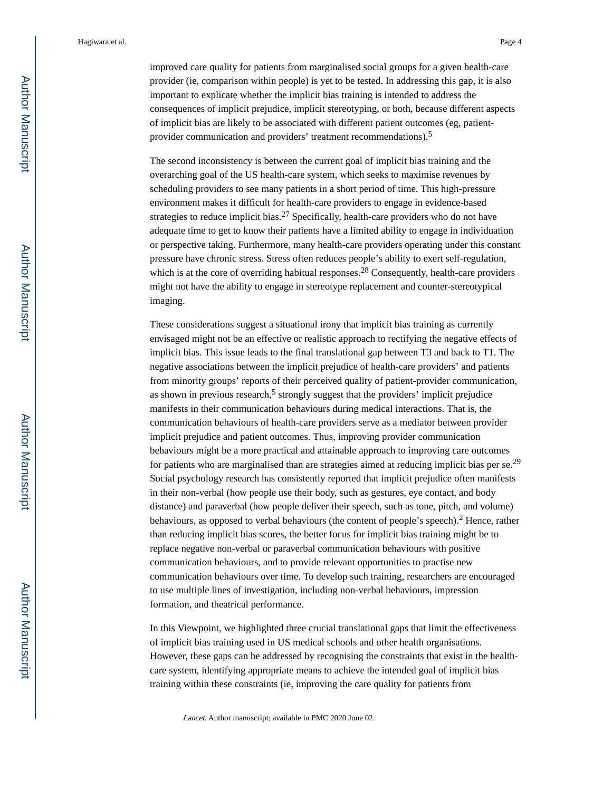improved care quality for patients from marginalised social groups for a given health-care provider (ie, comparison within people) is yet to be tested. In addressing this gap, it is also important to explicate whether the implicit bias training is intended to address the consequences of implicit prejudice, implicit stereotyping, or both, because different aspects of implicit bias are likely to be associated with different patient outcomes (eg, patientprovider communication and providers' treatment recommendations).<sup>5</sup>

The second inconsistency is between the current goal of implicit bias training and the overarching goal of the US health-care system, which seeks to maximise revenues by scheduling providers to see many patients in a short period of time. This high-pressure environment makes it difficult for health-care providers to engage in evidence-based strategies to reduce implicit bias.<sup>27</sup> Specifically, health-care providers who do not have adequate time to get to know their patients have a limited ability to engage in individuation or perspective taking. Furthermore, many health-care providers operating under this constant pressure have chronic stress. Stress often reduces people's ability to exert self-regulation, which is at the core of overriding habitual responses.<sup>28</sup> Consequently, health-care providers might not have the ability to engage in stereotype replacement and counter-stereotypical imaging.

These considerations suggest a situational irony that implicit bias training as currently envisaged might not be an effective or realistic approach to rectifying the negative effects of implicit bias. This issue leads to the final translational gap between T3 and back to T1. The negative associations between the implicit prejudice of health-care providers' and patients from minority groups' reports of their perceived quality of patient-provider communication, as shown in previous research,<sup>5</sup> strongly suggest that the providers' implicit prejudice manifests in their communication behaviours during medical interactions. That is, the communication behaviours of health-care providers serve as a mediator between provider implicit prejudice and patient outcomes. Thus, improving provider communication behaviours might be a more practical and attainable approach to improving care outcomes for patients who are marginalised than are strategies aimed at reducing implicit bias per se.<sup>29</sup> Social psychology research has consistently reported that implicit prejudice often manifests in their non-verbal (how people use their body, such as gestures, eye contact, and body distance) and paraverbal (how people deliver their speech, such as tone, pitch, and volume) behaviours, as opposed to verbal behaviours (the content of people's speech).<sup>2</sup> Hence, rather than reducing implicit bias scores, the better focus for implicit bias training might be to replace negative non-verbal or paraverbal communication behaviours with positive communication behaviours, and to provide relevant opportunities to practise new communication behaviours over time. To develop such training, researchers are encouraged to use multiple lines of investigation, including non-verbal behaviours, impression formation, and theatrical performance.

In this Viewpoint, we highlighted three crucial translational gaps that limit the effectiveness of implicit bias training used in US medical schools and other health organisations. However, these gaps can be addressed by recognising the constraints that exist in the healthcare system, identifying appropriate means to achieve the intended goal of implicit bias training within these constraints (ie, improving the care quality for patients from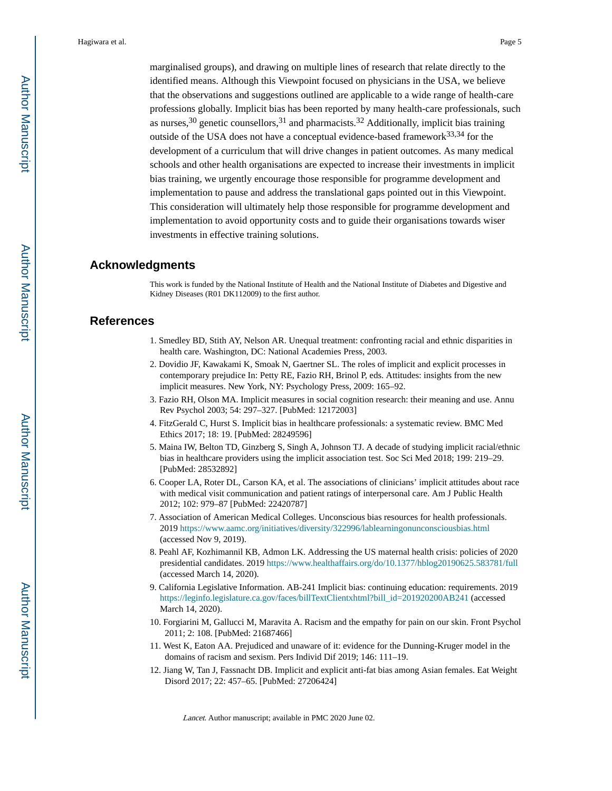marginalised groups), and drawing on multiple lines of research that relate directly to the identified means. Although this Viewpoint focused on physicians in the USA, we believe that the observations and suggestions outlined are applicable to a wide range of health-care professions globally. Implicit bias has been reported by many health-care professionals, such as nurses,  $30$  genetic counsellors,  $31$  and pharmacists.  $32$  Additionally, implicit bias training outside of the USA does not have a conceptual evidence-based framework $33,34$  for the development of a curriculum that will drive changes in patient outcomes. As many medical schools and other health organisations are expected to increase their investments in implicit bias training, we urgently encourage those responsible for programme development and implementation to pause and address the translational gaps pointed out in this Viewpoint. This consideration will ultimately help those responsible for programme development and implementation to avoid opportunity costs and to guide their organisations towards wiser investments in effective training solutions.

### **Acknowledgments**

This work is funded by the National Institute of Health and the National Institute of Diabetes and Digestive and Kidney Diseases (R01 DK112009) to the first author.

### **References**

- 1. Smedley BD, Stith AY, Nelson AR. Unequal treatment: confronting racial and ethnic disparities in health care. Washington, DC: National Academies Press, 2003.
- 2. Dovidio JF, Kawakami K, Smoak N, Gaertner SL. The roles of implicit and explicit processes in contemporary prejudice In: Petty RE, Fazio RH, Brinol P, eds. Attitudes: insights from the new implicit measures. New York, NY: Psychology Press, 2009: 165–92.
- 3. Fazio RH, Olson MA. Implicit measures in social cognition research: their meaning and use. Annu Rev Psychol 2003; 54: 297–327. [PubMed: 12172003]
- 4. FitzGerald C, Hurst S. Implicit bias in healthcare professionals: a systematic review. BMC Med Ethics 2017; 18: 19. [PubMed: 28249596]
- 5. Maina IW, Belton TD, Ginzberg S, Singh A, Johnson TJ. A decade of studying implicit racial/ethnic bias in healthcare providers using the implicit association test. Soc Sci Med 2018; 199: 219–29. [PubMed: 28532892]
- 6. Cooper LA, Roter DL, Carson KA, et al. The associations of clinicians' implicit attitudes about race with medical visit communication and patient ratings of interpersonal care. Am J Public Health 2012; 102: 979–87 [PubMed: 22420787]
- 7. Association of American Medical Colleges. Unconscious bias resources for health professionals. 2019<https://www.aamc.org/initiatives/diversity/322996/lablearningonunconsciousbias.html> (accessed Nov 9, 2019).
- 8. Peahl AF, Kozhimannil KB, Admon LK. Addressing the US maternal health crisis: policies of 2020 presidential candidates. 2019 <https://www.healthaffairs.org/do/10.1377/hblog20190625.583781/full> (accessed March 14, 2020).
- 9. California Legislative Information. AB-241 Implicit bias: continuing education: requirements. 2019 [https://leginfo.legislature.ca.gov/faces/billTextClientxhtml?bill\\_id=201920200AB241](https://leginfo.legislature.ca.gov/faces/billTextClientxhtml?bill_id=201920200AB241) (accessed March 14, 2020).
- 10. Forgiarini M, Gallucci M, Maravita A. Racism and the empathy for pain on our skin. Front Psychol 2011; 2: 108. [PubMed: 21687466]
- 11. West K, Eaton AA. Prejudiced and unaware of it: evidence for the Dunning-Kruger model in the domains of racism and sexism. Pers Individ Dif 2019; 146: 111–19.
- 12. Jiang W, Tan J, Fassnacht DB. Implicit and explicit anti-fat bias among Asian females. Eat Weight Disord 2017; 22: 457–65. [PubMed: 27206424]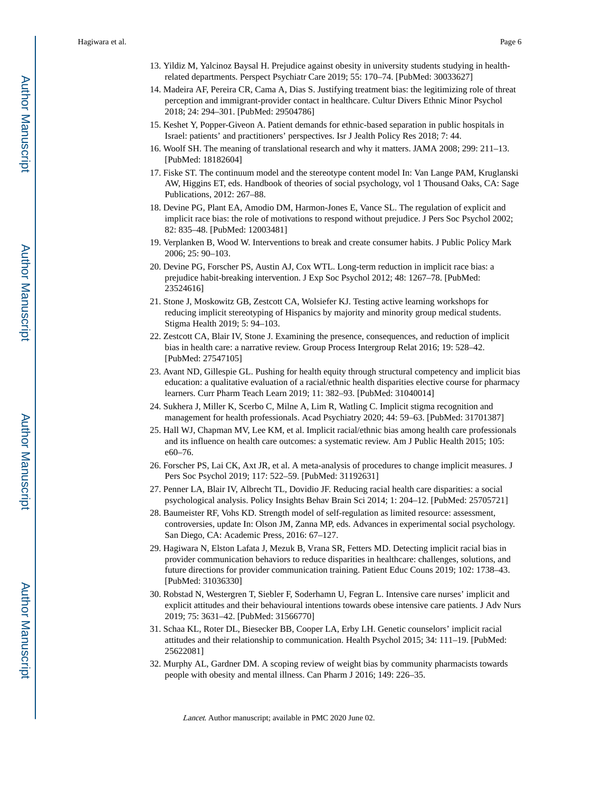- 13. Yildiz M, Yalcinoz Baysal H. Prejudice against obesity in university students studying in healthrelated departments. Perspect Psychiatr Care 2019; 55: 170–74. [PubMed: 30033627]
- 14. Madeira AF, Pereira CR, Cama A, Dias S. Justifying treatment bias: the legitimizing role of threat perception and immigrant-provider contact in healthcare. Cultur Divers Ethnic Minor Psychol 2018; 24: 294–301. [PubMed: 29504786]
- 15. Keshet Y, Popper-Giveon A. Patient demands for ethnic-based separation in public hospitals in Israel: patients' and practitioners' perspectives. Isr J Jealth Policy Res 2018; 7: 44.
- 16. Woolf SH. The meaning of translational research and why it matters. JAMA 2008; 299: 211–13. [PubMed: 18182604]
- 17. Fiske ST. The continuum model and the stereotype content model In: Van Lange PAM, Kruglanski AW, Higgins ET, eds. Handbook of theories of social psychology, vol 1 Thousand Oaks, CA: Sage Publications, 2012: 267–88.
- 18. Devine PG, Plant EA, Amodio DM, Harmon-Jones E, Vance SL. The regulation of explicit and implicit race bias: the role of motivations to respond without prejudice. J Pers Soc Psychol 2002; 82: 835–48. [PubMed: 12003481]
- 19. Verplanken B, Wood W. Interventions to break and create consumer habits. J Public Policy Mark 2006; 25: 90–103.
- 20. Devine PG, Forscher PS, Austin AJ, Cox WTL. Long-term reduction in implicit race bias: a prejudice habit-breaking intervention. J Exp Soc Psychol 2012; 48: 1267–78. [PubMed: 23524616]
- 21. Stone J, Moskowitz GB, Zestcott CA, Wolsiefer KJ. Testing active learning workshops for reducing implicit stereotyping of Hispanics by majority and minority group medical students. Stigma Health 2019; 5: 94–103.
- 22. Zestcott CA, Blair IV, Stone J. Examining the presence, consequences, and reduction of implicit bias in health care: a narrative review. Group Process Intergroup Relat 2016; 19: 528–42. [PubMed: 27547105]
- 23. Avant ND, Gillespie GL. Pushing for health equity through structural competency and implicit bias education: a qualitative evaluation of a racial/ethnic health disparities elective course for pharmacy learners. Curr Pharm Teach Learn 2019; 11: 382–93. [PubMed: 31040014]
- 24. Sukhera J, Miller K, Scerbo C, Milne A, Lim R, Watling C. Implicit stigma recognition and management for health professionals. Acad Psychiatry 2020; 44: 59–63. [PubMed: 31701387]
- 25. Hall WJ, Chapman MV, Lee KM, et al. Implicit racial/ethnic bias among health care professionals and its influence on health care outcomes: a systematic review. Am J Public Health 2015; 105: e60–76.
- 26. Forscher PS, Lai CK, Axt JR, et al. A meta-analysis of procedures to change implicit measures. J Pers Soc Psychol 2019; 117: 522–59. [PubMed: 31192631]
- 27. Penner LA, Blair IV, Albrecht TL, Dovidio JF. Reducing racial health care disparities: a social psychological analysis. Policy Insights Behav Brain Sci 2014; 1: 204–12. [PubMed: 25705721]
- 28. Baumeister RF, Vohs KD. Strength model of self-regulation as limited resource: assessment, controversies, update In: Olson JM, Zanna MP, eds. Advances in experimental social psychology. San Diego, CA: Academic Press, 2016: 67–127.
- 29. Hagiwara N, Elston Lafata J, Mezuk B, Vrana SR, Fetters MD. Detecting implicit racial bias in provider communication behaviors to reduce disparities in healthcare: challenges, solutions, and future directions for provider communication training. Patient Educ Couns 2019; 102: 1738–43. [PubMed: 31036330]
- 30. Robstad N, Westergren T, Siebler F, Soderhamn U, Fegran L. Intensive care nurses' implicit and explicit attitudes and their behavioural intentions towards obese intensive care patients. J Adv Nurs 2019; 75: 3631–42. [PubMed: 31566770]
- 31. Schaa KL, Roter DL, Biesecker BB, Cooper LA, Erby LH. Genetic counselors' implicit racial attitudes and their relationship to communication. Health Psychol 2015; 34: 111–19. [PubMed: 25622081]
- 32. Murphy AL, Gardner DM. A scoping review of weight bias by community pharmacists towards people with obesity and mental illness. Can Pharm J 2016; 149: 226–35.